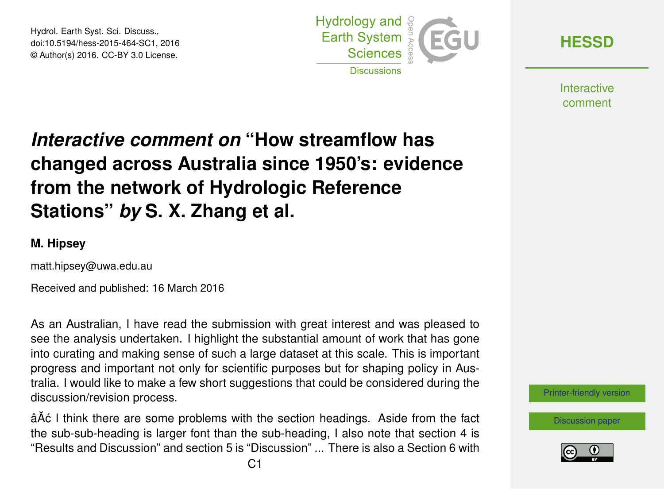Hydrol. Earth Syst. Sci. Discuss., doi:10.5194/hess-2015-464-SC1, 2016 © Author(s) 2016. CC-BY 3.0 License.



**[HESSD](http://www.hydrol-earth-syst-sci-discuss.net/)**

**Interactive** comment

## *Interactive comment on* **"How streamflow has changed across Australia since 1950's: evidence from the network of Hydrologic Reference Stations"** *by* **S. X. Zhang et al.**

## **M. Hipsey**

matt.hipsey@uwa.edu.au

Received and published: 16 March 2016

As an Australian, I have read the submission with great interest and was pleased to see the analysis undertaken. I highlight the substantial amount of work that has gone into curating and making sense of such a large dataset at this scale. This is important progress and important not only for scientific purposes but for shaping policy in Australia. I would like to make a few short suggestions that could be considered during the discussion/revision process.

â $\tilde{A}$ ć I think there are some problems with the section headings. Aside from the fact the sub-sub-heading is larger font than the sub-heading, I also note that section 4 is "Results and Discussion" and section 5 is "Discussion" ... There is also a Section 6 with

[Printer-friendly version](http://www.hydrol-earth-syst-sci-discuss.net/hess-2015-464/hess-2015-464-SC1-print.pdf)

[Discussion paper](http://www.hydrol-earth-syst-sci-discuss.net/hess-2015-464)

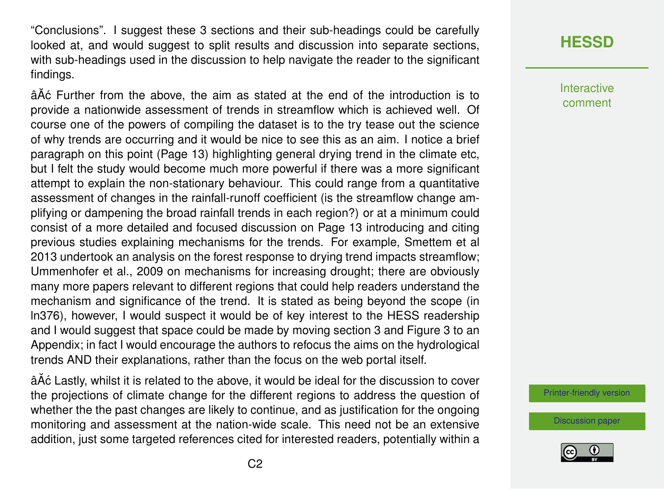"Conclusions". I suggest these 3 sections and their sub-headings could be carefully looked at, and would suggest to split results and discussion into separate sections, with sub-headings used in the discussion to help navigate the reader to the significant findings.

âĂć Further from the above, the aim as stated at the end of the introduction is to provide a nationwide assessment of trends in streamflow which is achieved well. Of course one of the powers of compiling the dataset is to the try tease out the science of why trends are occurring and it would be nice to see this as an aim. I notice a brief paragraph on this point (Page 13) highlighting general drying trend in the climate etc, but I felt the study would become much more powerful if there was a more significant attempt to explain the non-stationary behaviour. This could range from a quantitative assessment of changes in the rainfall-runoff coefficient (is the streamflow change amplifying or dampening the broad rainfall trends in each region?) or at a minimum could consist of a more detailed and focused discussion on Page 13 introducing and citing previous studies explaining mechanisms for the trends. For example, Smettem et al 2013 undertook an analysis on the forest response to drying trend impacts streamflow; Ummenhofer et al., 2009 on mechanisms for increasing drought; there are obviously many more papers relevant to different regions that could help readers understand the mechanism and significance of the trend. It is stated as being beyond the scope (in ln376), however, I would suspect it would be of key interest to the HESS readership and I would suggest that space could be made by moving section 3 and Figure 3 to an Appendix; in fact I would encourage the authors to refocus the aims on the hydrological trends AND their explanations, rather than the focus on the web portal itself.

â $\tilde{A}$ ć Lastly, whilst it is related to the above, it would be ideal for the discussion to cover the projections of climate change for the different regions to address the question of whether the the past changes are likely to continue, and as justification for the ongoing monitoring and assessment at the nation-wide scale. This need not be an extensive addition, just some targeted references cited for interested readers, potentially within a

## **[HESSD](http://www.hydrol-earth-syst-sci-discuss.net/)**

**Interactive** comment

[Printer-friendly version](http://www.hydrol-earth-syst-sci-discuss.net/hess-2015-464/hess-2015-464-SC1-print.pdf)

[Discussion paper](http://www.hydrol-earth-syst-sci-discuss.net/hess-2015-464)